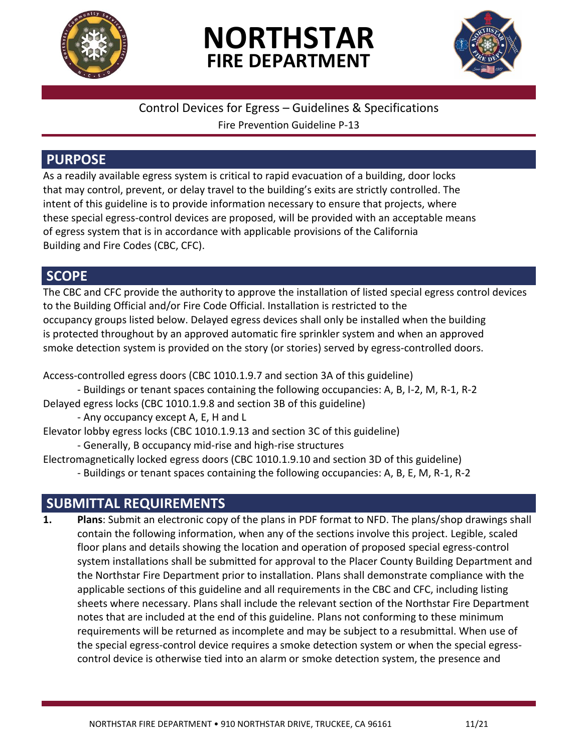

# **NORTHSTAR FIRE DEPARTMENT**



# Control Devices for Egress – Guidelines & Specifications

Fire Prevention Guideline P-13

# **PURPOSE**

As a readily available egress system is critical to rapid evacuation of a building, door locks that may control, prevent, or delay travel to the building's exits are strictly controlled. The intent of this guideline is to provide information necessary to ensure that projects, where these special egress-control devices are proposed, will be provided with an acceptable means of egress system that is in accordance with applicable provisions of the California Building and Fire Codes (CBC, CFC).

# **SCOPE**

The CBC and CFC provide the authority to approve the installation of listed special egress control devices to the Building Official and/or Fire Code Official. Installation is restricted to the occupancy groups listed below. Delayed egress devices shall only be installed when the building is protected throughout by an approved automatic fire sprinkler system and when an approved smoke detection system is provided on the story (or stories) served by egress-controlled doors.

Access-controlled egress doors (CBC 1010.1.9.7 and section 3A of this guideline)

- Buildings or tenant spaces containing the following occupancies: A, B, I-2, M, R-1, R-2 Delayed egress locks (CBC 1010.1.9.8 and section 3B of this guideline)

- Any occupancy except A, E, H and L

Elevator lobby egress locks (CBC 1010.1.9.13 and section 3C of this guideline)

- Generally, B occupancy mid-rise and high-rise structures

Electromagnetically locked egress doors (CBC 1010.1.9.10 and section 3D of this guideline)

- Buildings or tenant spaces containing the following occupancies: A, B, E, M, R-1, R-2

# **SUBMITTAL REQUIREMENTS**

**1. Plans**: Submit an electronic copy of the plans in PDF format to NFD. The plans/shop drawings shall contain the following information, when any of the sections involve this project. Legible, scaled floor plans and details showing the location and operation of proposed special egress-control system installations shall be submitted for approval to the Placer County Building Department and the Northstar Fire Department prior to installation. Plans shall demonstrate compliance with the applicable sections of this guideline and all requirements in the CBC and CFC, including listing sheets where necessary. Plans shall include the relevant section of the Northstar Fire Department notes that are included at the end of this guideline. Plans not conforming to these minimum requirements will be returned as incomplete and may be subject to a resubmittal. When use of the special egress-control device requires a smoke detection system or when the special egresscontrol device is otherwise tied into an alarm or smoke detection system, the presence and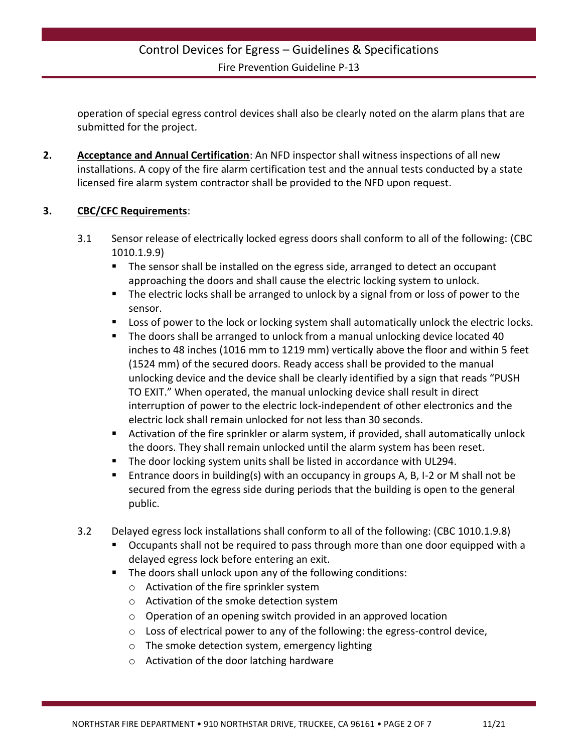operation of special egress control devices shall also be clearly noted on the alarm plans that are submitted for the project.

**2. Acceptance and Annual Certification**: An NFD inspector shall witness inspections of all new installations. A copy of the fire alarm certification test and the annual tests conducted by a state licensed fire alarm system contractor shall be provided to the NFD upon request.

#### **3. CBC/CFC Requirements**:

- 3.1 Sensor release of electrically locked egress doors shall conform to all of the following: (CBC 1010.1.9.9)
	- The sensor shall be installed on the egress side, arranged to detect an occupant approaching the doors and shall cause the electric locking system to unlock.
	- The electric locks shall be arranged to unlock by a signal from or loss of power to the sensor.
	- **Loss of power to the lock or locking system shall automatically unlock the electric locks.**
	- **The doors shall be arranged to unlock from a manual unlocking device located 40** inches to 48 inches (1016 mm to 1219 mm) vertically above the floor and within 5 feet (1524 mm) of the secured doors. Ready access shall be provided to the manual unlocking device and the device shall be clearly identified by a sign that reads "PUSH TO EXIT." When operated, the manual unlocking device shall result in direct interruption of power to the electric lock-independent of other electronics and the electric lock shall remain unlocked for not less than 30 seconds.
	- Activation of the fire sprinkler or alarm system, if provided, shall automatically unlock the doors. They shall remain unlocked until the alarm system has been reset.
	- The door locking system units shall be listed in accordance with UL294.
	- **Entrance doors in building(s) with an occupancy in groups A, B, I-2 or M shall not be** secured from the egress side during periods that the building is open to the general public.
- 3.2 Delayed egress lock installations shall conform to all of the following: (CBC 1010.1.9.8)
	- Occupants shall not be required to pass through more than one door equipped with a delayed egress lock before entering an exit.
	- The doors shall unlock upon any of the following conditions:
		- o Activation of the fire sprinkler system
		- o Activation of the smoke detection system
		- o Operation of an opening switch provided in an approved location
		- $\circ$  Loss of electrical power to any of the following: the egress-control device,
		- o The smoke detection system, emergency lighting
		- o Activation of the door latching hardware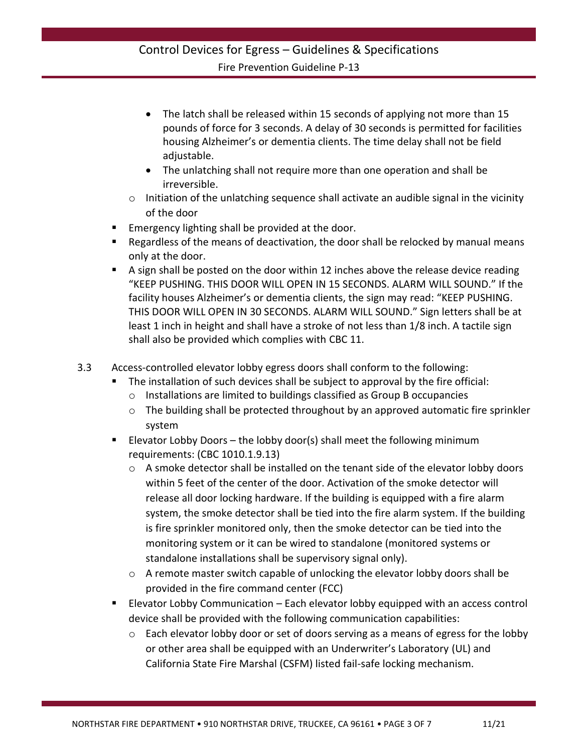- The latch shall be released within 15 seconds of applying not more than 15 pounds of force for 3 seconds. A delay of 30 seconds is permitted for facilities housing Alzheimer's or dementia clients. The time delay shall not be field adjustable.
- The unlatching shall not require more than one operation and shall be irreversible.
- $\circ$  Initiation of the unlatching sequence shall activate an audible signal in the vicinity of the door
- Emergency lighting shall be provided at the door.
- Regardless of the means of deactivation, the door shall be relocked by manual means only at the door.
- A sign shall be posted on the door within 12 inches above the release device reading "KEEP PUSHING. THIS DOOR WILL OPEN IN 15 SECONDS. ALARM WILL SOUND." If the facility houses Alzheimer's or dementia clients, the sign may read: "KEEP PUSHING. THIS DOOR WILL OPEN IN 30 SECONDS. ALARM WILL SOUND." Sign letters shall be at least 1 inch in height and shall have a stroke of not less than 1/8 inch. A tactile sign shall also be provided which complies with CBC 11.
- 3.3 Access-controlled elevator lobby egress doors shall conform to the following:
	- The installation of such devices shall be subject to approval by the fire official:
		- o Installations are limited to buildings classified as Group B occupancies
		- $\circ$  The building shall be protected throughout by an approved automatic fire sprinkler system
	- Elevator Lobby Doors the lobby door(s) shall meet the following minimum requirements: (CBC 1010.1.9.13)
		- $\circ$  A smoke detector shall be installed on the tenant side of the elevator lobby doors within 5 feet of the center of the door. Activation of the smoke detector will release all door locking hardware. If the building is equipped with a fire alarm system, the smoke detector shall be tied into the fire alarm system. If the building is fire sprinkler monitored only, then the smoke detector can be tied into the monitoring system or it can be wired to standalone (monitored systems or standalone installations shall be supervisory signal only).
		- $\circ$  A remote master switch capable of unlocking the elevator lobby doors shall be provided in the fire command center (FCC)
	- **Elevator Lobby Communication Each elevator lobby equipped with an access control** device shall be provided with the following communication capabilities:
		- $\circ$  Each elevator lobby door or set of doors serving as a means of egress for the lobby or other area shall be equipped with an Underwriter's Laboratory (UL) and California State Fire Marshal (CSFM) listed fail-safe locking mechanism.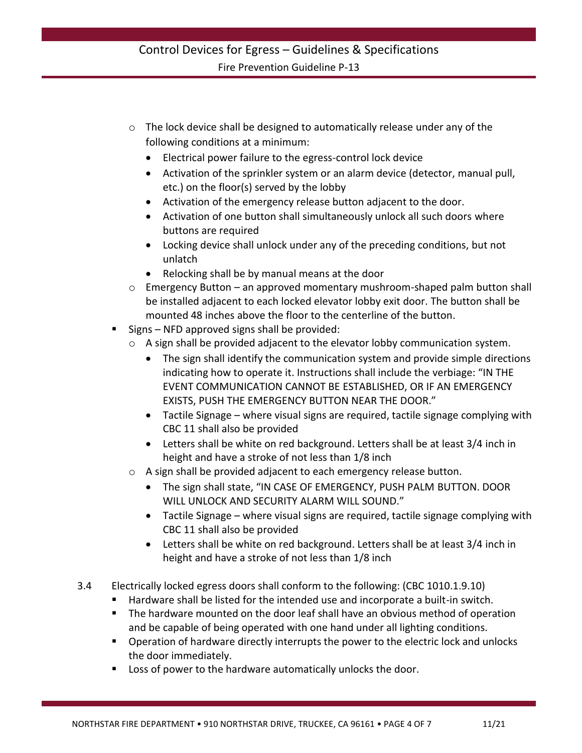- $\circ$  The lock device shall be designed to automatically release under any of the following conditions at a minimum:
	- Electrical power failure to the egress-control lock device
	- Activation of the sprinkler system or an alarm device (detector, manual pull, etc.) on the floor(s) served by the lobby
	- Activation of the emergency release button adjacent to the door.
	- Activation of one button shall simultaneously unlock all such doors where buttons are required
	- Locking device shall unlock under any of the preceding conditions, but not unlatch
	- Relocking shall be by manual means at the door
- o Emergency Button an approved momentary mushroom-shaped palm button shall be installed adjacent to each locked elevator lobby exit door. The button shall be mounted 48 inches above the floor to the centerline of the button.
- Signs NFD approved signs shall be provided:
	- $\circ$  A sign shall be provided adjacent to the elevator lobby communication system.
		- The sign shall identify the communication system and provide simple directions indicating how to operate it. Instructions shall include the verbiage: "IN THE EVENT COMMUNICATION CANNOT BE ESTABLISHED, OR IF AN EMERGENCY EXISTS, PUSH THE EMERGENCY BUTTON NEAR THE DOOR."
		- Tactile Signage where visual signs are required, tactile signage complying with CBC 11 shall also be provided
		- Letters shall be white on red background. Letters shall be at least 3/4 inch in height and have a stroke of not less than 1/8 inch
	- o A sign shall be provided adjacent to each emergency release button.
		- The sign shall state, "IN CASE OF EMERGENCY, PUSH PALM BUTTON. DOOR WILL UNLOCK AND SECURITY ALARM WILL SOUND."
		- Tactile Signage where visual signs are required, tactile signage complying with CBC 11 shall also be provided
		- Letters shall be white on red background. Letters shall be at least 3/4 inch in height and have a stroke of not less than 1/8 inch
- 3.4 Electrically locked egress doors shall conform to the following: (CBC 1010.1.9.10)
	- Hardware shall be listed for the intended use and incorporate a built-in switch.
	- **The hardware mounted on the door leaf shall have an obvious method of operation** and be capable of being operated with one hand under all lighting conditions.
	- **Dearation of hardware directly interrupts the power to the electric lock and unlocks** the door immediately.
	- Loss of power to the hardware automatically unlocks the door.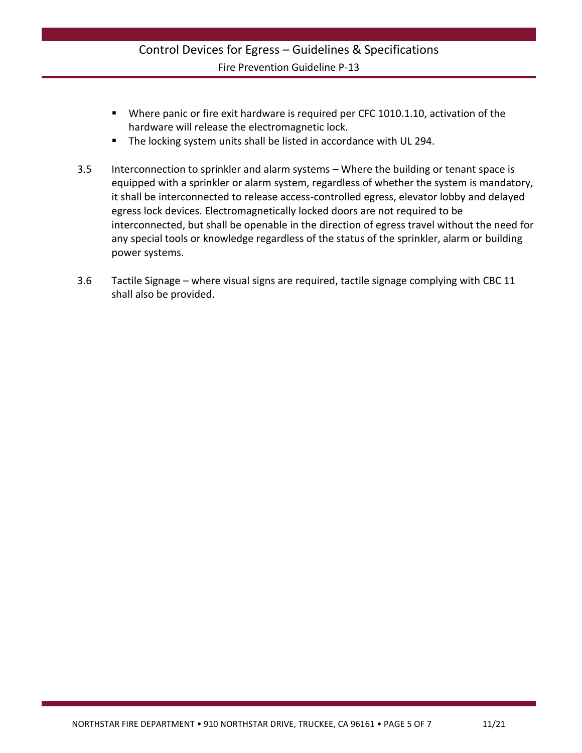- Where panic or fire exit hardware is required per CFC 1010.1.10, activation of the hardware will release the electromagnetic lock.
- The locking system units shall be listed in accordance with UL 294.
- 3.5 Interconnection to sprinkler and alarm systems Where the building or tenant space is equipped with a sprinkler or alarm system, regardless of whether the system is mandatory, it shall be interconnected to release access-controlled egress, elevator lobby and delayed egress lock devices. Electromagnetically locked doors are not required to be interconnected, but shall be openable in the direction of egress travel without the need for any special tools or knowledge regardless of the status of the sprinkler, alarm or building power systems.
- 3.6 Tactile Signage where visual signs are required, tactile signage complying with CBC 11 shall also be provided.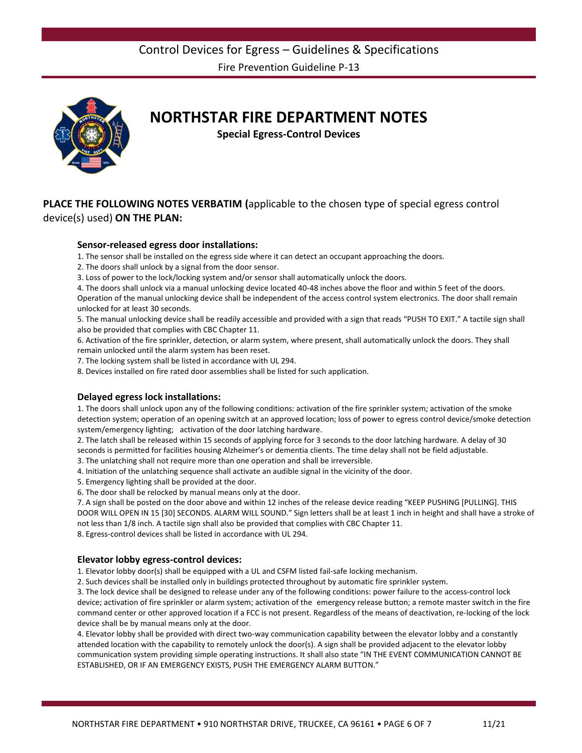## **NORTHSTAR FIRE DEPARTMENT NOTES**

**Special Egress-Control Devices**

#### **PLACE THE FOLLOWING NOTES VERBATIM (**applicable to the chosen type of special egress control device(s) used) **ON THE PLAN:**

#### **Sensor-released egress door installations:**

1. The sensor shall be installed on the egress side where it can detect an occupant approaching the doors.

2. The doors shall unlock by a signal from the door sensor.

3. Loss of power to the lock/locking system and/or sensor shall automatically unlock the doors.

4. The doors shall unlock via a manual unlocking device located 40-48 inches above the floor and within 5 feet of the doors. Operation of the manual unlocking device shall be independent of the access control system electronics. The door shall remain unlocked for at least 30 seconds.

5. The manual unlocking device shall be readily accessible and provided with a sign that reads "PUSH TO EXIT." A tactile sign shall also be provided that complies with CBC Chapter 11.

6. Activation of the fire sprinkler, detection, or alarm system, where present, shall automatically unlock the doors. They shall remain unlocked until the alarm system has been reset.

7. The locking system shall be listed in accordance with UL 294.

8. Devices installed on fire rated door assemblies shall be listed for such application.

#### **Delayed egress lock installations:**

1. The doors shall unlock upon any of the following conditions: activation of the fire sprinkler system; activation of the smoke detection system; operation of an opening switch at an approved location; loss of power to egress control device/smoke detection system/emergency lighting; activation of the door latching hardware.

2. The latch shall be released within 15 seconds of applying force for 3 seconds to the door latching hardware. A delay of 30 seconds is permitted for facilities housing Alzheimer's or dementia clients. The time delay shall not be field adjustable.

3. The unlatching shall not require more than one operation and shall be irreversible.

4. Initiation of the unlatching sequence shall activate an audible signal in the vicinity of the door.

5. Emergency lighting shall be provided at the door.

6. The door shall be relocked by manual means only at the door.

7. A sign shall be posted on the door above and within 12 inches of the release device reading "KEEP PUSHING [PULLING]. THIS DOOR WILL OPEN IN 15 [30] SECONDS. ALARM WILL SOUND." Sign letters shall be at least 1 inch in height and shall have a stroke of not less than 1/8 inch. A tactile sign shall also be provided that complies with CBC Chapter 11.

8. Egress-control devices shall be listed in accordance with UL 294.

#### **Elevator lobby egress-control devices:**

1. Elevator lobby door(s) shall be equipped with a UL and CSFM listed fail-safe locking mechanism.

2. Such devices shall be installed only in buildings protected throughout by automatic fire sprinkler system.

3. The lock device shall be designed to release under any of the following conditions: power failure to the access-control lock device; activation of fire sprinkler or alarm system; activation of the emergency release button; a remote master switch in the fire command center or other approved location if a FCC is not present. Regardless of the means of deactivation, re-locking of the lock device shall be by manual means only at the door.

4. Elevator lobby shall be provided with direct two-way communication capability between the elevator lobby and a constantly attended location with the capability to remotely unlock the door(s). A sign shall be provided adjacent to the elevator lobby communication system providing simple operating instructions. It shall also state "IN THE EVENT COMMUNICATION CANNOT BE ESTABLISHED, OR IF AN EMERGENCY EXISTS, PUSH THE EMERGENCY ALARM BUTTON."